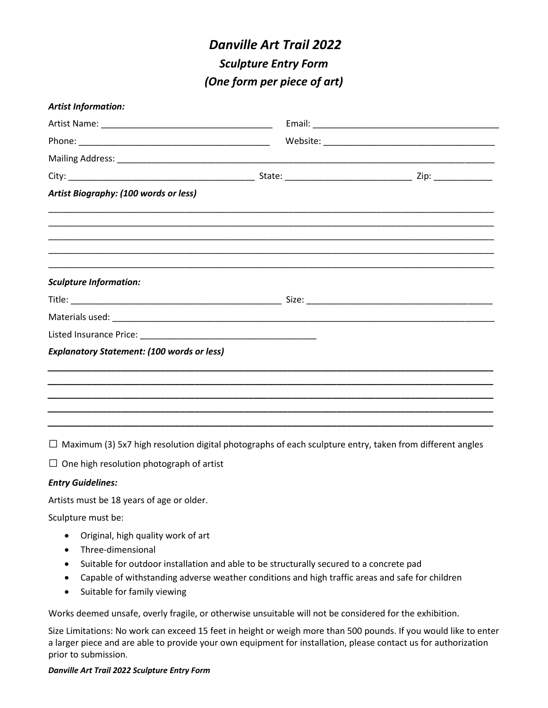# *Danville Art Trail 2022 Sculpture Entry Form (One form per piece of art)*

| <b>Artist Information:</b>                        |  |  |
|---------------------------------------------------|--|--|
|                                                   |  |  |
|                                                   |  |  |
|                                                   |  |  |
|                                                   |  |  |
| Artist Biography: (100 words or less)             |  |  |
|                                                   |  |  |
|                                                   |  |  |
| <b>Sculpture Information:</b>                     |  |  |
|                                                   |  |  |
|                                                   |  |  |
|                                                   |  |  |
| <b>Explanatory Statement: (100 words or less)</b> |  |  |
|                                                   |  |  |
|                                                   |  |  |
|                                                   |  |  |
|                                                   |  |  |

 $\Box$  Maximum (3) 5x7 high resolution digital photographs of each sculpture entry, taken from different angles

 $\square$  One high resolution photograph of artist

### *Entry Guidelines:*

Artists must be 18 years of age or older.

Sculpture must be:

- Original, high quality work of art
- Three-dimensional
- Suitable for outdoor installation and able to be structurally secured to a concrete pad
- Capable of withstanding adverse weather conditions and high traffic areas and safe for children
- Suitable for family viewing

Works deemed unsafe, overly fragile, or otherwise unsuitable will not be considered for the exhibition.

Size Limitations: No work can exceed 15 feet in height or weigh more than 500 pounds. If you would like to enter a larger piece and are able to provide your own equipment for installation, please contact us for authorization prior to submission.

#### *Danville Art Trail 2022 Sculpture Entry Form*